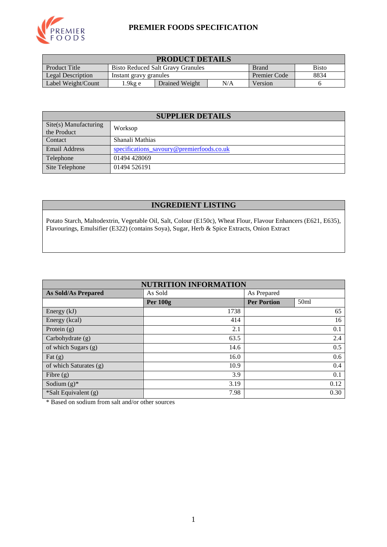

## **PREMIER FOODS SPECIFICATION**

| <b>PRODUCT DETAILS</b> |                                                                          |                |              |      |  |  |
|------------------------|--------------------------------------------------------------------------|----------------|--------------|------|--|--|
| <b>Product Title</b>   | <b>Bisto</b><br><b>Bisto Reduced Salt Gravy Granules</b><br><b>Brand</b> |                |              |      |  |  |
| Legal Description      | Instant gravy granules                                                   |                | Premier Code | 8834 |  |  |
| Label Weight/Count     | $1.9$ kg e                                                               | Drained Weight | Version      |      |  |  |

| <b>SUPPLIER DETAILS</b>              |                                           |  |  |
|--------------------------------------|-------------------------------------------|--|--|
| Site(s) Manufacturing<br>the Product | Worksop                                   |  |  |
| <b>Contact</b>                       | Shanali Mathias                           |  |  |
| <b>Email Address</b>                 | specifications savoury@premierfoods.co.uk |  |  |
| Telephone                            | 01494 428069                              |  |  |
| Site Telephone                       | 01494 526191                              |  |  |

# **INGREDIENT LISTING**

Potato Starch, Maltodextrin, Vegetable Oil, Salt, Colour (E150c), Wheat Flour, Flavour Enhancers (E621, E635), Flavourings, Emulsifier (E322) (contains Soya), Sugar, Herb & Spice Extracts, Onion Extract

| <b>NUTRITION INFORMATION</b> |                 |                    |                  |  |  |
|------------------------------|-----------------|--------------------|------------------|--|--|
| <b>As Sold/As Prepared</b>   | As Sold         | As Prepared        |                  |  |  |
|                              | <b>Per 100g</b> | <b>Per Portion</b> | 50 <sub>ml</sub> |  |  |
| Energy $(kJ)$                | 1738            |                    | 65               |  |  |
| Energy (kcal)                | 414             |                    | 16               |  |  |
| Protein $(g)$                | 2.1             |                    | 0.1              |  |  |
| Carbohydrate (g)             | 63.5            |                    | 2.4              |  |  |
| of which Sugars (g)          | 14.6            |                    | 0.5              |  |  |
| Fat $(g)$                    | 16.0            |                    | 0.6              |  |  |
| of which Saturates (g)       | 10.9            |                    | 0.4              |  |  |
| Fibre $(g)$                  | 3.9             |                    | 0.1              |  |  |
| Sodium $(g)^*$               | 3.19            |                    | 0.12             |  |  |
| *Salt Equivalent (g)         | 7.98            |                    | 0.30             |  |  |

\* Based on sodium from salt and/or other sources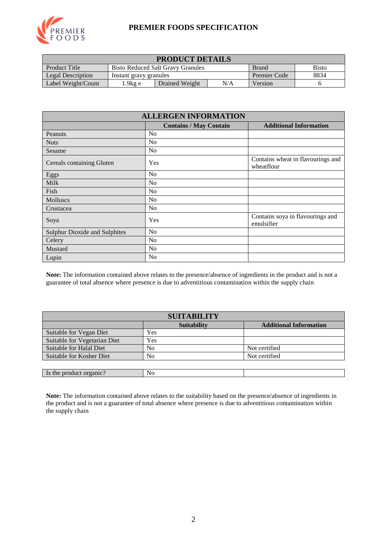

### **PREMIER FOODS SPECIFICATION**

| <b>PRODUCT DETAILS</b> |                                                                          |                |              |      |  |  |
|------------------------|--------------------------------------------------------------------------|----------------|--------------|------|--|--|
| <b>Product Title</b>   | <b>Bisto</b><br><b>Bisto Reduced Salt Gravy Granules</b><br><b>Brand</b> |                |              |      |  |  |
| Legal Description      | Instant gravy granules                                                   |                | Premier Code | 8834 |  |  |
| Label Weight/Count     | $1.9$ kg e                                                               | Drained Weight | Version      |      |  |  |

| <b>ALLERGEN INFORMATION</b>          |                               |                                                 |  |  |  |
|--------------------------------------|-------------------------------|-------------------------------------------------|--|--|--|
|                                      | <b>Contains / May Contain</b> | <b>Additional Information</b>                   |  |  |  |
| Peanuts                              | No                            |                                                 |  |  |  |
| <b>Nuts</b>                          | No                            |                                                 |  |  |  |
| Sesame                               | N <sub>o</sub>                |                                                 |  |  |  |
| Cereals containing Gluten            | Yes                           | Contains wheat in flavourings and<br>wheatflour |  |  |  |
| Eggs                                 | N <sub>o</sub>                |                                                 |  |  |  |
| Milk                                 | N <sub>o</sub>                |                                                 |  |  |  |
| Fish                                 | No                            |                                                 |  |  |  |
| Molluscs                             | N <sub>o</sub>                |                                                 |  |  |  |
| Crustacea                            | No                            |                                                 |  |  |  |
| Soya                                 | Yes                           | Contains soya in flavourings and<br>emulsifier  |  |  |  |
| <b>Sulphur Dioxide and Sulphites</b> | No                            |                                                 |  |  |  |
| Celery                               | N <sub>o</sub>                |                                                 |  |  |  |
| Mustard                              | No                            |                                                 |  |  |  |
| Lupin                                | No                            |                                                 |  |  |  |

**Note:** The information contained above relates to the presence/absence of ingredients in the product and is not a guarantee of total absence where presence is due to adventitious contamination within the supply chain

| <b>SUITABILITY</b>           |                    |                               |  |  |  |
|------------------------------|--------------------|-------------------------------|--|--|--|
|                              | <b>Suitability</b> | <b>Additional Information</b> |  |  |  |
| Suitable for Vegan Diet      | Yes                |                               |  |  |  |
| Suitable for Vegetarian Diet | Yes                |                               |  |  |  |
| Suitable for Halal Diet      | N <sub>0</sub>     | Not certified                 |  |  |  |
| Suitable for Kosher Diet     | N <sub>0</sub>     | Not certified                 |  |  |  |
|                              |                    |                               |  |  |  |
| Is the product organic?      | No                 |                               |  |  |  |

**Note:** The information contained above relates to the suitability based on the presence/absence of ingredients in the product and is not a guarantee of total absence where presence is due to adventitious contamination within the supply chain